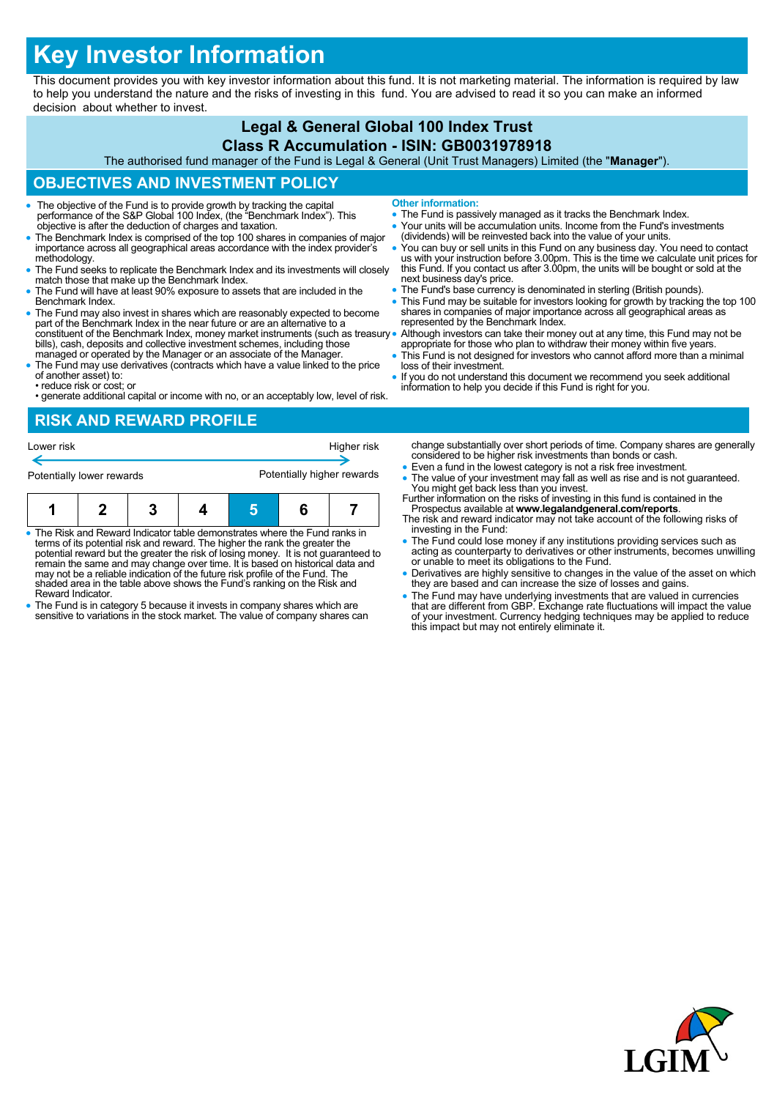# **Key Investor Information**

This document provides you with key investor information about this fund. It is not marketing material. The information is required by law to help you understand the nature and the risks of investing in this fund. You are advised to read it so you can make an informed decision about whether to invest.

## **Legal & General Global 100 Index Trust**

#### **Class R Accumulation - ISIN: GB0031978918**

The authorised fund manager of the Fund is Legal & General (Unit Trust Managers) Limited (the "**Manager**").

## **OBJECTIVES AND INVESTMENT POLICY**

- The objective of the Fund is to provide growth by tracking the capital performance of the S&P Global 100 Index, (the "Benchmark Index"). This objective is after the deduction of charges and taxation.
- The Benchmark Index is comprised of the top 100 shares in companies of major importance across all geographical areas accordance with the index provider's methodology.
- The Fund seeks to replicate the Benchmark Index and its investments will closely match those that make up the Benchmark Index.
- The Fund will have at least 90% exposure to assets that are included in the Benchmark Index.
- The Fund may also invest in shares which are reasonably expected to become part of the Benchmark Index in the near future or are an alternative to a constituent of the Benchmark Index, money market instruments (such as treasury . bills), cash, deposits and collective investment schemes, including those managed or operated by the Manager or an associate of the Manager.
- The Fund may use derivatives (contracts which have a value linked to the price of another asset) to: • reduce risk or cost; or
- generate additional capital or income with no, or an acceptably low, level of risk.

## **RISK AND REWARD PROFILE**

| Potentially lower rewards |  |  |  | Potentially higher rewards |  |  |  |  |
|---------------------------|--|--|--|----------------------------|--|--|--|--|
| Lower risk                |  |  |  | Higher risk                |  |  |  |  |

| The Risk and Reward Indicator table demonstrates where the Fund ranks in |  |  |  |  |  |  |
|--------------------------------------------------------------------------|--|--|--|--|--|--|

- The Risk and Reward Indicator table demonstrates where the Fund ranks in<br>terms of its potential risk and reward. The higher the rank the greater the<br>potential reward but the greater the risk of losing money. It is not gu may not be a reliable indication of the future risk profile of the Fund. The shaded area in the table above shows the Fund's ranking on the Risk and Reward Indicator.
- The Fund is in category 5 because it invests in company shares which are sensitive to variations in the stock market. The value of company shares can
- **Other information:**
- The Fund is passively managed as it tracks the Benchmark Index.
- Your units will be accumulation units. Income from the Fund's investments (dividends) will be reinvested back into the value of your units.
- You can buy or sell units in this Fund on any business day. You need to contact us with your instruction before 3.00pm. This is the time we calculate unit prices for this Fund. If you contact us after 3.00pm, the units will be bought or sold at the next business day's price.
- The Fund's base currency is denominated in sterling (British pounds).
- This Fund may be suitable for investors looking for growth by tracking the top 100 shares in companies of major importance across all geographical areas as represented by the Benchmark Index.
- Although investors can take their money out at any time, this Fund may not be appropriate for those who plan to withdraw their money within five years.
- This Fund is not designed for investors who cannot afford more than a minimal loss of their investment.
- If you do not understand this document we recommend you seek additional information to help you decide if this Fund is right for you.

change substantially over short periods of time. Company shares are generally considered to be higher risk investments than bonds or cash.

- Even a fund in the lowest category is not a risk free investment.
- The value of your investment may fall as well as rise and is not guaranteed. You might get back less than you invest. Further information on the risks of investing in this fund is contained in the
- Prospectus available at **www.legalandgeneral.com/reports**. The risk and reward indicator may not take account of the following risks of
- investing in the Fund: The Fund could lose money if any institutions providing services such as acting as counterparty to derivatives or other instruments, becomes unwilling or unable to meet its obligations to the Fund.
- Derivatives are highly sensitive to changes in the value of the asset on which they are based and can increase the size of losses and gains.
- The Fund may have underlying investments that are valued in currencies<br>that are different from GBP. Exchange rate fluctuations will impact the value<br>of your investment. Currency hedging techniques may be applied to reduc